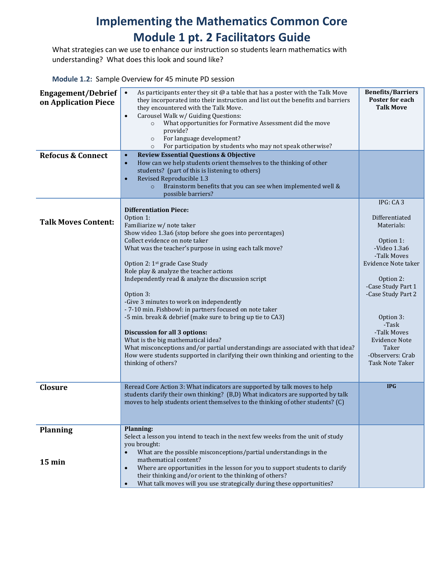## **Implementing the Mathematics Common Core Module 1 pt. 2 Facilitators Guide**

What strategies can we use to enhance our instruction so students learn mathematics with understanding? What does this look and sound like?

**Module 1.2:** Sample Overview for 45 minute PD session

| <b>Engagement/Debrief</b><br>on Application Piece<br><b>Refocus &amp; Connect</b> | As participants enter they sit $@$ a table that has a poster with the Talk Move<br>$\bullet$<br>they incorporated into their instruction and list out the benefits and barriers<br>they encountered with the Talk Move.<br>Carousel Walk w/ Guiding Questions:<br>$\bullet$<br>What opportunities for Formative Assessment did the move<br>provide?<br>For language development?<br>$\circ$<br>For participation by students who may not speak otherwise?<br>$\circ$<br><b>Review Essential Questions &amp; Objective</b><br>$\bullet$<br>How can we help students orient themselves to the thinking of other<br>$\bullet$<br>students? (part of this is listening to others)<br>Revised Reproducible 1.3<br>$\bullet$<br>Brainstorm benefits that you can see when implemented well &<br>$\circ$<br>possible barriers?                  | <b>Benefits/Barriers</b><br>Poster for each<br><b>Talk Move</b>                                                                                                                                                                                                                   |
|-----------------------------------------------------------------------------------|------------------------------------------------------------------------------------------------------------------------------------------------------------------------------------------------------------------------------------------------------------------------------------------------------------------------------------------------------------------------------------------------------------------------------------------------------------------------------------------------------------------------------------------------------------------------------------------------------------------------------------------------------------------------------------------------------------------------------------------------------------------------------------------------------------------------------------------|-----------------------------------------------------------------------------------------------------------------------------------------------------------------------------------------------------------------------------------------------------------------------------------|
| <b>Talk Moves Content:</b>                                                        | <b>Differentiation Piece:</b><br>Option 1:<br>Familiarize w/ note taker<br>Show video 1.3a6 (stop before she goes into percentages)<br>Collect evidence on note taker<br>What was the teacher's purpose in using each talk move?<br>Option 2: 1 <sup>st</sup> grade Case Study<br>Role play & analyze the teacher actions<br>Independently read & analyze the discussion script<br>Option 3:<br>-Give 3 minutes to work on independently<br>- 7-10 min. Fishbowl: in partners focused on note taker<br>-5 min. break & debrief (make sure to bring up tie to CA3)<br>Discussion for all 3 options:<br>What is the big mathematical idea?<br>What misconceptions and/or partial understandings are associated with that idea?<br>How were students supported in clarifying their own thinking and orienting to the<br>thinking of others? | IPG: CA3<br>Differentiated<br>Materials:<br>Option 1:<br>-Video 1.3a6<br>-Talk Moves<br>Evidence Note taker<br>Option 2:<br>-Case Study Part 1<br>-Case Study Part 2<br>Option 3:<br>-Task<br>-Talk Moves<br>Evidence Note<br>Taker<br>-Observers: Crab<br><b>Task Note Taker</b> |
| <b>Closure</b>                                                                    | Reread Core Action 3: What indicators are supported by talk moves to help<br>students clarify their own thinking? (B,D) What indicators are supported by talk<br>moves to help students orient themselves to the thinking of other students? (C)                                                                                                                                                                                                                                                                                                                                                                                                                                                                                                                                                                                         | <b>IPG</b>                                                                                                                                                                                                                                                                        |
| <b>Planning</b><br>$15 \text{ min}$                                               | Planning:<br>Select a lesson you intend to teach in the next few weeks from the unit of study<br>you brought:<br>What are the possible misconceptions/partial understandings in the<br>$\bullet$<br>mathematical content?<br>Where are opportunities in the lesson for you to support students to clarify<br>$\bullet$<br>their thinking and/or orient to the thinking of others?<br>What talk moves will you use strategically during these opportunities?<br>$\bullet$                                                                                                                                                                                                                                                                                                                                                                 |                                                                                                                                                                                                                                                                                   |